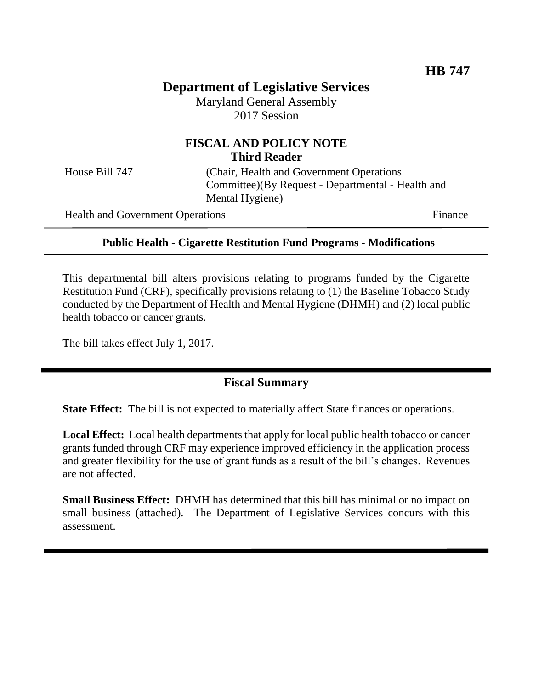# **Department of Legislative Services**

Maryland General Assembly 2017 Session

# **FISCAL AND POLICY NOTE Third Reader**

House Bill 747 (Chair, Health and Government Operations Committee)(By Request - Departmental - Health and Mental Hygiene)

Health and Government Operations Finance

### **Public Health - Cigarette Restitution Fund Programs - Modifications**

This departmental bill alters provisions relating to programs funded by the Cigarette Restitution Fund (CRF), specifically provisions relating to (1) the Baseline Tobacco Study conducted by the Department of Health and Mental Hygiene (DHMH) and (2) local public health tobacco or cancer grants.

The bill takes effect July 1, 2017.

### **Fiscal Summary**

**State Effect:** The bill is not expected to materially affect State finances or operations.

**Local Effect:** Local health departments that apply for local public health tobacco or cancer grants funded through CRF may experience improved efficiency in the application process and greater flexibility for the use of grant funds as a result of the bill's changes. Revenues are not affected.

**Small Business Effect:** DHMH has determined that this bill has minimal or no impact on small business (attached). The Department of Legislative Services concurs with this assessment.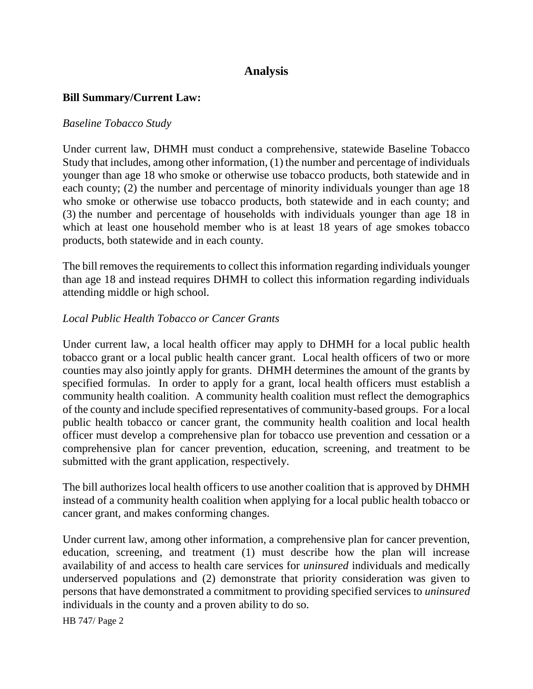# **Analysis**

### **Bill Summary/Current Law:**

#### *Baseline Tobacco Study*

Under current law, DHMH must conduct a comprehensive, statewide Baseline Tobacco Study that includes, among other information, (1) the number and percentage of individuals younger than age 18 who smoke or otherwise use tobacco products, both statewide and in each county; (2) the number and percentage of minority individuals younger than age 18 who smoke or otherwise use tobacco products, both statewide and in each county; and (3) the number and percentage of households with individuals younger than age 18 in which at least one household member who is at least 18 years of age smokes tobacco products, both statewide and in each county.

The bill removes the requirements to collect this information regarding individuals younger than age 18 and instead requires DHMH to collect this information regarding individuals attending middle or high school.

#### *Local Public Health Tobacco or Cancer Grants*

Under current law, a local health officer may apply to DHMH for a local public health tobacco grant or a local public health cancer grant. Local health officers of two or more counties may also jointly apply for grants. DHMH determines the amount of the grants by specified formulas. In order to apply for a grant, local health officers must establish a community health coalition. A community health coalition must reflect the demographics of the county and include specified representatives of community-based groups. For a local public health tobacco or cancer grant, the community health coalition and local health officer must develop a comprehensive plan for tobacco use prevention and cessation or a comprehensive plan for cancer prevention, education, screening, and treatment to be submitted with the grant application, respectively.

The bill authorizes local health officers to use another coalition that is approved by DHMH instead of a community health coalition when applying for a local public health tobacco or cancer grant, and makes conforming changes.

Under current law, among other information, a comprehensive plan for cancer prevention, education, screening, and treatment (1) must describe how the plan will increase availability of and access to health care services for *uninsured* individuals and medically underserved populations and (2) demonstrate that priority consideration was given to persons that have demonstrated a commitment to providing specified services to *uninsured* individuals in the county and a proven ability to do so.

HB 747/ Page 2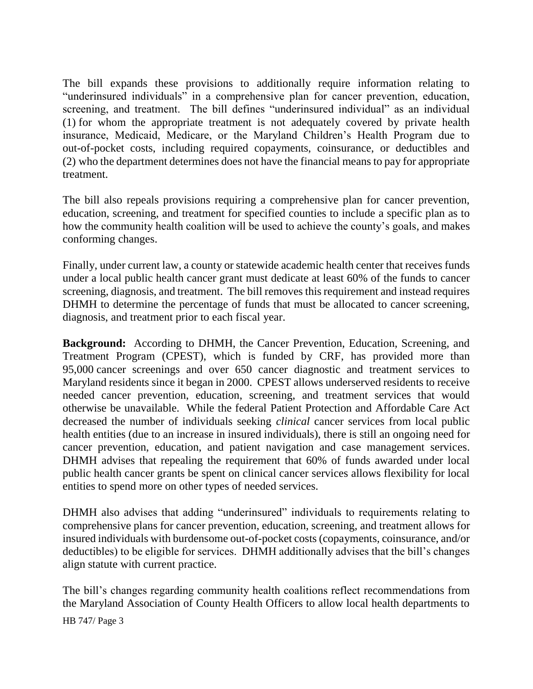The bill expands these provisions to additionally require information relating to "underinsured individuals" in a comprehensive plan for cancer prevention, education, screening, and treatment. The bill defines "underinsured individual" as an individual (1) for whom the appropriate treatment is not adequately covered by private health insurance, Medicaid, Medicare, or the Maryland Children's Health Program due to out-of-pocket costs, including required copayments, coinsurance, or deductibles and (2) who the department determines does not have the financial means to pay for appropriate treatment.

The bill also repeals provisions requiring a comprehensive plan for cancer prevention, education, screening, and treatment for specified counties to include a specific plan as to how the community health coalition will be used to achieve the county's goals, and makes conforming changes.

Finally, under current law, a county or statewide academic health center that receives funds under a local public health cancer grant must dedicate at least 60% of the funds to cancer screening, diagnosis, and treatment. The bill removes this requirement and instead requires DHMH to determine the percentage of funds that must be allocated to cancer screening, diagnosis, and treatment prior to each fiscal year.

**Background:** According to DHMH, the Cancer Prevention, Education, Screening, and Treatment Program (CPEST), which is funded by CRF, has provided more than 95,000 cancer screenings and over 650 cancer diagnostic and treatment services to Maryland residents since it began in 2000. CPEST allows underserved residents to receive needed cancer prevention, education, screening, and treatment services that would otherwise be unavailable. While the federal Patient Protection and Affordable Care Act decreased the number of individuals seeking *clinical* cancer services from local public health entities (due to an increase in insured individuals), there is still an ongoing need for cancer prevention, education, and patient navigation and case management services. DHMH advises that repealing the requirement that 60% of funds awarded under local public health cancer grants be spent on clinical cancer services allows flexibility for local entities to spend more on other types of needed services.

DHMH also advises that adding "underinsured" individuals to requirements relating to comprehensive plans for cancer prevention, education, screening, and treatment allows for insured individuals with burdensome out-of-pocket costs (copayments, coinsurance, and/or deductibles) to be eligible for services. DHMH additionally advises that the bill's changes align statute with current practice.

The bill's changes regarding community health coalitions reflect recommendations from the Maryland Association of County Health Officers to allow local health departments to

HB 747/ Page 3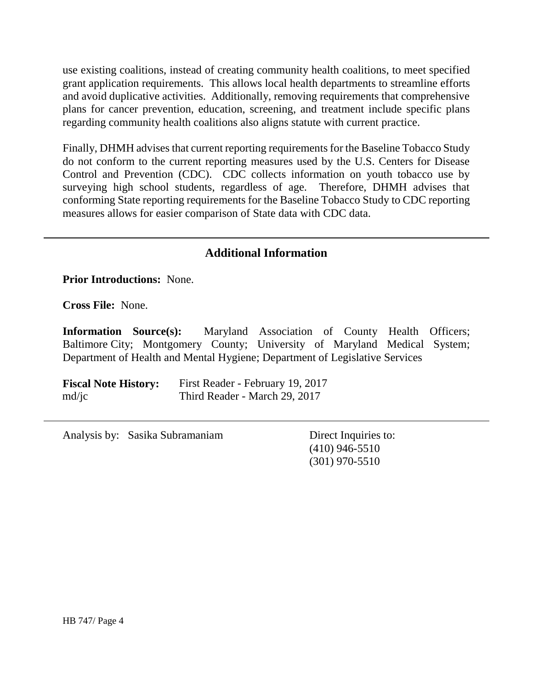use existing coalitions, instead of creating community health coalitions, to meet specified grant application requirements. This allows local health departments to streamline efforts and avoid duplicative activities. Additionally, removing requirements that comprehensive plans for cancer prevention, education, screening, and treatment include specific plans regarding community health coalitions also aligns statute with current practice.

Finally, DHMH advises that current reporting requirements for the Baseline Tobacco Study do not conform to the current reporting measures used by the U.S. Centers for Disease Control and Prevention (CDC). CDC collects information on youth tobacco use by surveying high school students, regardless of age. Therefore, DHMH advises that conforming State reporting requirements for the Baseline Tobacco Study to CDC reporting measures allows for easier comparison of State data with CDC data.

# **Additional Information**

**Prior Introductions:** None.

**Cross File:** None.

**Information Source(s):** Maryland Association of County Health Officers; Baltimore City; Montgomery County; University of Maryland Medical System; Department of Health and Mental Hygiene; Department of Legislative Services

**Fiscal Note History:** First Reader - February 19, 2017 md/jc Third Reader - March 29, 2017

Analysis by: Sasika Subramaniam Direct Inquiries to:

(410) 946-5510 (301) 970-5510